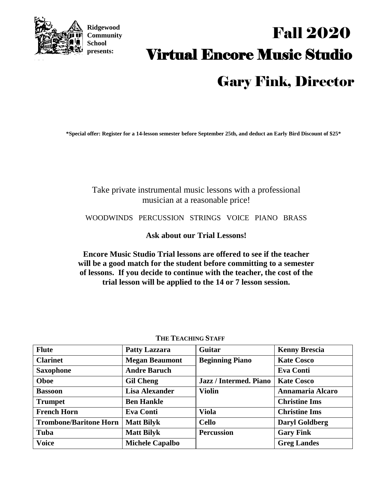

**Ridgewood Community School presents:**

# Virtual Encore Music Studio Fall 2020 Gary Fink, Director

**\*Special offer: Register for a 14-lesson semester before September 25th, and deduct an Early Bird Discount of \$25\***

### Take private instrumental music lessons with a professional musician at a reasonable price!

WOODWINDS PERCUSSION STRINGS VOICE PIANO BRASS

**Ask about our Trial Lessons!** 

**Encore Music Studio Trial lessons are offered to see if the teacher will be a good match for the student before committing to a semester of lessons. If you decide to continue with the teacher, the cost of the trial lesson will be applied to the 14 or 7 lesson session.**

| <b>Flute</b>                  | <b>Patty Lazzara</b>   | Guitar                 | <b>Kenny Brescia</b>  |
|-------------------------------|------------------------|------------------------|-----------------------|
| <b>Clarinet</b>               | <b>Megan Beaumont</b>  | <b>Beginning Piano</b> | <b>Kate Cosco</b>     |
| <b>Saxophone</b>              | <b>Andre Baruch</b>    |                        | <b>Eva Conti</b>      |
| Oboe                          | <b>Gil Cheng</b>       | Jazz / Intermed. Piano | <b>Kate Cosco</b>     |
| <b>Bassoon</b>                | <b>Lisa Alexander</b>  | <b>Violin</b>          | Annamaria Alcaro      |
| <b>Trumpet</b>                | <b>Ben Hankle</b>      |                        | <b>Christine Ims</b>  |
| <b>French Horn</b>            | <b>Eva Conti</b>       | <b>Viola</b>           | <b>Christine Ims</b>  |
| <b>Trombone/Baritone Horn</b> | <b>Matt Bilyk</b>      | <b>Cello</b>           | <b>Daryl Goldberg</b> |
| Tuba                          | <b>Matt Bilyk</b>      | <b>Percussion</b>      | <b>Gary Fink</b>      |
| <b>Voice</b>                  | <b>Michele Capalbo</b> |                        | <b>Greg Landes</b>    |

**THE TEACHING STAFF**